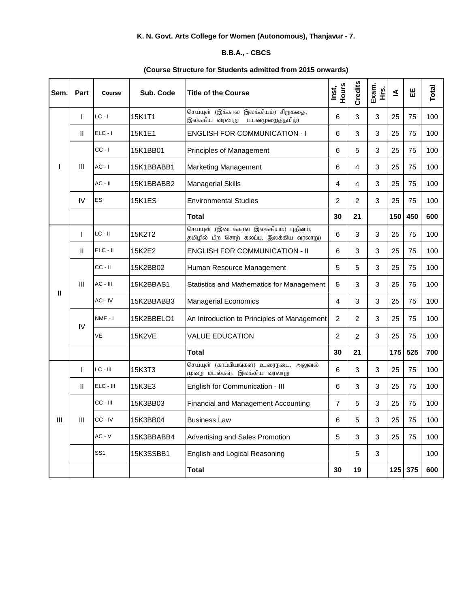## **K. N. Govt. Arts College for Women (Autonomous), Thanjavur - 7.**

## **B.B.A., - CBCS**

## **(Course Structure for Students admitted from 2015 onwards)**

| Sem. | Part         | Course          | Sub. Code     | <b>Title of the Course</b>                                                         | Hours<br>Inst, | Credits        | Exam.<br>ι<br>Ε | ₹   | Ш       | Total |
|------|--------------|-----------------|---------------|------------------------------------------------------------------------------------|----------------|----------------|-----------------|-----|---------|-------|
|      | $\mathbf{I}$ | $LC - I$        | 15K1T1        | செய்யுள் (இக்கால இலக்கியம்) சிறுகதை,<br>இலக்கிய வரலாறு<br>பயன்முறைத்தமிழ்)         | 6              | 3              | 3               | 25  | 75      | 100   |
|      | $\mathbf{H}$ | $ELC - I$       | 15K1E1        | <b>ENGLISH FOR COMMUNICATION - I</b>                                               | 6              | 3              | 3               | 25  | 75      | 100   |
|      | Ш            | $CC - I$        | 15K1BB01      | Principles of Management                                                           | 6              | 5              | 3               | 25  | 75      | 100   |
|      |              | $AC - I$        | 15K1BBABB1    | <b>Marketing Management</b>                                                        | 6              | 4              | 3               | 25  | 75      | 100   |
|      |              | $AC - II$       | 15K1BBABB2    | <b>Managerial Skills</b>                                                           | 4              | 4              | 3               | 25  | 75      | 100   |
|      | IV           | <b>ES</b>       | <b>15K1ES</b> | <b>Environmental Studies</b>                                                       | 2              | 2              | 3               | 25  | 75      | 100   |
|      |              |                 |               | <b>Total</b>                                                                       | 30             | 21             |                 | 150 | 450     | 600   |
|      | $\mathbf{I}$ | $LC - II$       | 15K2T2        | செய்யுள் (இடைக்கால இலக்கியம்) புதினம்,<br>தமிழில் பிற சொற் கலப்பு, இலக்கிய வரலாறு) | 6              | 3              | 3               | 25  | 75      | 100   |
| Ш    | Ш            | $ELC - II$      | 15K2E2        | <b>ENGLISH FOR COMMUNICATION - II</b>                                              | 6              | 3              | 3               | 25  | 75      | 100   |
|      | Ш            | $CC - II$       | 15K2BB02      | Human Resource Management                                                          | 5              | 5              | 3               | 25  | 75      | 100   |
|      |              | AC - III        | 15K2BBAS1     | <b>Statistics and Mathematics for Management</b>                                   | 5              | 3              | 3               | 25  | 75      | 100   |
|      |              | AC - IV         | 15K2BBABB3    | <b>Managerial Economics</b>                                                        | 4              | 3              | 3               | 25  | 75      | 100   |
|      | IV           | NME - I         | 15K2BBELO1    | An Introduction to Principles of Management                                        | $\overline{c}$ | 2              | 3               | 25  | 75      | 100   |
|      |              | VE              | <b>15K2VE</b> | <b>VALUE EDUCATION</b>                                                             | $\overline{c}$ | $\overline{c}$ | 3               | 25  | 75      | 100   |
|      |              |                 |               | <b>Total</b>                                                                       | 30             | 21             |                 | 175 | 525     | 700   |
|      | $\mathbf{I}$ | LC - III        | 15K3T3        | செய்யுள் (காப்பியங்கள்) உரைநடை, அலுவல்<br>முறை மடல்கள், இலக்கிய வரலாறு             | 6              | 3              | 3               | 25  | 75      | 100   |
|      | Ш            | ELC - III       | 15K3E3        | English for Communication - III                                                    | 6              | 3              | 3               | 25  | 75      | 100   |
|      | Ш            | CC - III        | 15K3BB03      | Financial and Management Accounting                                                | 7              | 5              | 3               | 25  | 75      | 100   |
| Ш    |              | $CC - IV$       | 15K3BB04      | <b>Business Law</b>                                                                | 6              | 5              | 3               | 25  | 75      | 100   |
|      |              | $AC - V$        | 15K3BBABB4    | Advertising and Sales Promotion                                                    | 5              | 3              | 3               | 25  | 75      | 100   |
|      |              | SS <sub>1</sub> | 15K3SSBB1     | English and Logical Reasoning                                                      |                | 5              | 3               |     |         | 100   |
|      |              |                 |               | <b>Total</b>                                                                       | 30             | 19             |                 |     | 125 375 | 600   |